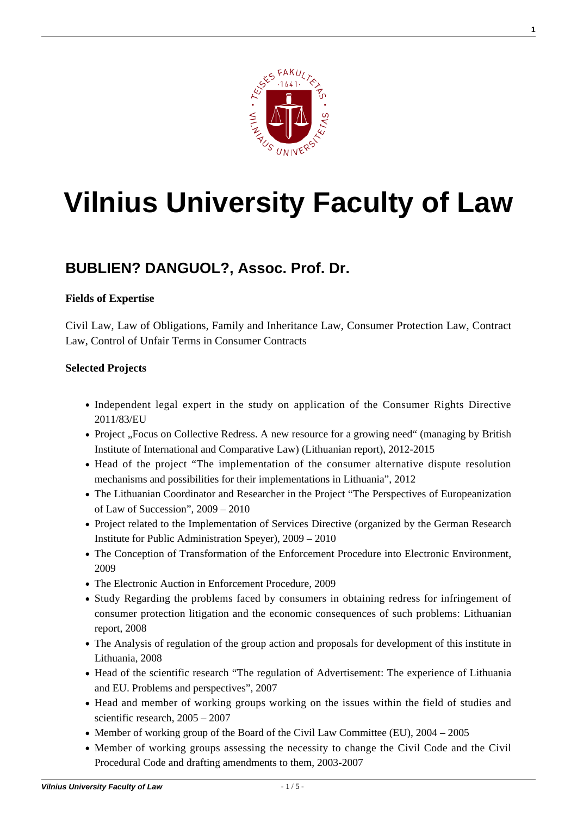

**1**

# **[Vilnius University Faculty of Law](https://www.tf.vu.lt/)**

# **[BUBLIEN? DANGUOL?, Assoc. Prof. Dr.](https://www.tf.vu.lt/about_us/science-centers/science-center-of-european-private-law-and-intellectual-property-law/bubliene-danguole-assoc-prof-dr/)**

# **Fields of Expertise**

Civil Law, Law of Obligations, Family and Inheritance Law, Consumer Protection Law, Contract Law, Control of Unfair Terms in Consumer Contracts

#### **Selected Projects**

- Independent legal expert in the study on application of the Consumer Rights Directive 2011/83/EU
- Project "Focus on Collective Redress. A new resource for a growing need" (managing by British Institute of International and Comparative Law) (Lithuanian report), 2012-2015
- Head of the project "The implementation of the consumer alternative dispute resolution mechanisms and possibilities for their implementations in Lithuania", 2012
- The Lithuanian Coordinator and Researcher in the Project "The Perspectives of Europeanization of Law of Succession", 2009 – 2010
- Project related to the Implementation of Services Directive (organized by the German Research Institute for Public Administration Speyer), 2009 – 2010
- The Conception of Transformation of the Enforcement Procedure into Electronic Environment, 2009
- The Electronic Auction in Enforcement Procedure, 2009
- Study Regarding the problems faced by consumers in obtaining redress for infringement of consumer protection litigation and the economic consequences of such problems: Lithuanian report, 2008
- The Analysis of regulation of the group action and proposals for development of this institute in Lithuania, 2008
- Head of the scientific research "The regulation of Advertisement: The experience of Lithuania and EU. Problems and perspectives", 2007
- Head and member of working groups working on the issues within the field of studies and scientific research, 2005 – 2007
- $\bullet$  Member of working group of the Board of the Civil Law Committee (EU), 2004 2005
- Member of working groups assessing the necessity to change the Civil Code and the Civil Procedural Code and drafting amendments to them, 2003-2007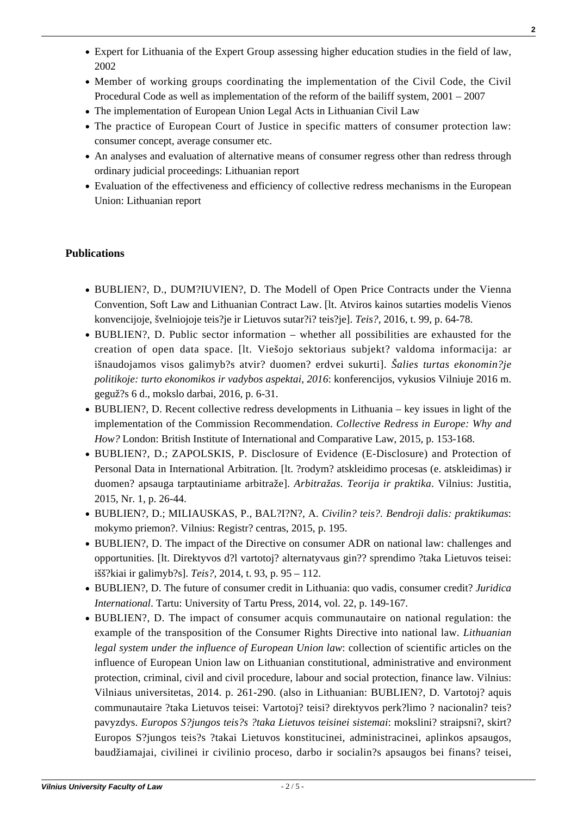- Expert for Lithuania of the Expert Group assessing higher education studies in the field of law, 2002
- Member of working groups coordinating the implementation of the Civil Code, the Civil Procedural Code as well as implementation of the reform of the bailiff system, 2001 – 2007
- The implementation of European Union Legal Acts in Lithuanian Civil Law
- The practice of European Court of Justice in specific matters of consumer protection law: consumer concept, average consumer etc.
- An analyses and evaluation of alternative means of consumer regress other than redress through ordinary judicial proceedings: Lithuanian report
- Evaluation of the effectiveness and efficiency of collective redress mechanisms in the European Union: Lithuanian report

# **Publications**

- [BUBLIEN?, D., DUM?IUVIEN?, D. The Modell of Open Price Contracts under the Vienna](http://www.journals.vu.lt/teise/article/view/10113) [Convention, Soft Law and Lithuanian Contract Law. \[lt. Atviros kainos sutarties modelis Vienos](http://www.journals.vu.lt/teise/article/view/10113) [konvencijoje, švelniojoje teis?je ir Lietuvos sutar?i? teis?je\].](http://www.journals.vu.lt/teise/article/view/10113) *[Teis?](http://www.journals.vu.lt/teise/article/view/10113)*[, 2016, t. 99, p. 64-78.](http://www.journals.vu.lt/teise/article/view/10113)
- BUBLIEN?, D. Public sector information whether all possibilities are exhausted for the creation of open data space. [lt. Viešojo sektoriaus subjekt? valdoma informacija: ar išnaudojamos visos galimyb?s atvir? duomen? erdvei sukurti]. *Šalies turtas ekonomin?je politikoje: turto ekonomikos ir vadybos aspektai, 2016*: konferencijos, vykusios Vilniuje 2016 m. geguž?s 6 d., mokslo darbai, 2016, p. 6-31.
- BUBLIEN?, D. Recent collective redress developments in Lithuania key issues in light of the implementation of the Commission Recommendation. *Collective Redress in Europe: Why and How?* London: British Institute of International and Comparative Law, 2015, p. 153-168.
- BUBLIEN?, D.; ZAPOLSKIS, P. Disclosure of Evidence (E-Disclosure) and Protection of Personal Data in International Arbitration. [lt. ?rodym? atskleidimo procesas (e. atskleidimas) ir duomen? apsauga tarptautiniame arbitraže]. *Arbitražas. Teorija ir praktika*. Vilnius: Justitia, 2015, Nr. 1, p. 26-44.
- BUBLIEN?, D.; MILIAUSKAS, P., BAL?I?N?, A. *Civilin? teis?. Bendroji dalis: praktikumas*: mokymo priemon?. Vilnius: Registr? centras, 2015, p. 195.
- [BUBLIEN?, D. The impact of the Directive on consumer ADR on national law: challenges and](http://www.journals.vu.lt/teise/article/view/5078) [opportunities. \[lt. Direktyvos d?l vartotoj? alternatyvaus gin?? sprendimo ?taka Lietuvos teisei:](http://www.journals.vu.lt/teise/article/view/5078) [išš?kiai ir galimyb?s\].](http://www.journals.vu.lt/teise/article/view/5078) *[Teis?,](http://www.journals.vu.lt/teise/article/view/5078)* [2014, t. 93, p. 95 – 112.](http://www.journals.vu.lt/teise/article/view/5078)
- BUBLIEN?, D. The future of consumer credit in Lithuania: quo vadis, consumer credit? *Juridica International*. Tartu: University of Tartu Press, 2014, vol. 22, p. 149-167.
- BUBLIEN?, D. The impact of consumer acquis communautaire on national regulation: the example of the transposition of the Consumer Rights Directive into national law. *Lithuanian legal system under the influence of European Union law*: collection of scientific articles on the influence of European Union law on Lithuanian constitutional, administrative and environment protection, criminal, civil and civil procedure, labour and social protection, finance law. Vilnius: Vilniaus universitetas, 2014. p. 261-290. (also in Lithuanian: BUBLIEN?, D. Vartotoj? aquis communautaire ?taka Lietuvos teisei: Vartotoj? teisi? direktyvos perk?limo ? nacionalin? teis? pavyzdys. *Europos S?jungos teis?s ?taka Lietuvos teisinei sistemai*: mokslini? straipsni?, skirt? Europos S?jungos teis?s ?takai Lietuvos konstitucinei, administracinei, aplinkos apsaugos, baudžiamajai, civilinei ir civilinio proceso, darbo ir socialin?s apsaugos bei finans? teisei,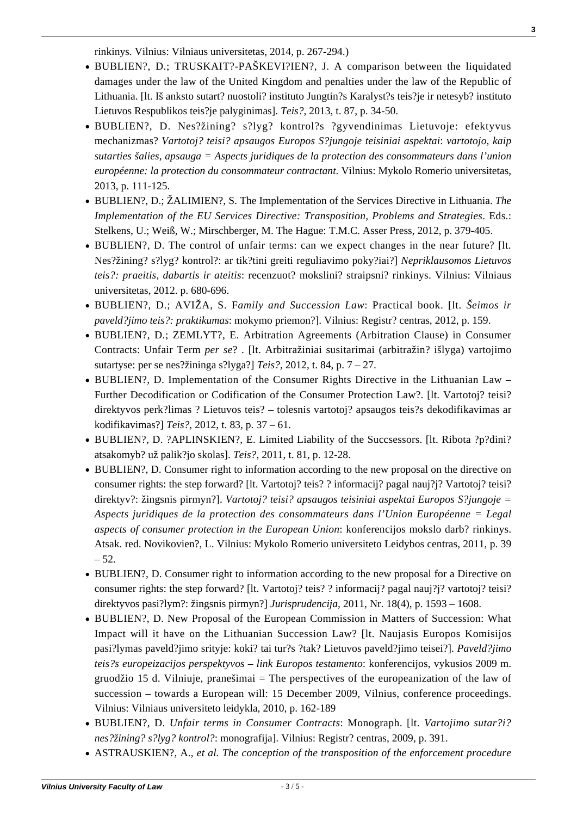rinkinys. Vilnius: Vilniaus universitetas, 2014, p. 267-294.)

[BUBLIEN?, D.; TRUSKAIT?-PAŠKEVI?IEN?, J. A comparison between the liquidated](http://www.zurnalai.vu.lt/teise/article/view/1256) [damages under the law of the United Kingdom and penalties under the law of the Republic of](http://www.zurnalai.vu.lt/teise/article/view/1256) [Lithuania. \[lt. Iš anksto sutart? nuostoli? instituto Jungtin?s Karalyst?s teis?je ir netesyb? instituto](http://www.zurnalai.vu.lt/teise/article/view/1256) [Lietuvos Respublikos teis?je palyginimas\].](http://www.zurnalai.vu.lt/teise/article/view/1256) *[Teis?](http://www.zurnalai.vu.lt/teise/article/view/1256)*[, 2013, t. 87, p. 34-50.](http://www.zurnalai.vu.lt/teise/article/view/1256)

**3**

- BUBLIEN?, D. Nes?žining? s?lyg? kontrol?s ?gyvendinimas Lietuvoje: efektyvus mechanizmas? *Vartotoj? teisi? apsaugos Europos S?jungoje teisiniai aspektai*: *vartotojo, kaip sutarties šalies, apsauga = Aspects juridiques de la protection des consommateurs dans l'union européenne: la protection du consommateur contractant*. Vilnius: Mykolo Romerio universitetas, 2013, p. 111-125.
- BUBLIEN?, D.; ŽALIMIEN?, S. The Implementation of the Services Directive in Lithuania. *The Implementation of the EU Services Directive: Transposition, Problems and Strategies*. Eds.: Stelkens, U.; Weiß, W.; Mirschberger, M. The Hague: T.M.C. Asser Press, 2012, p. 379-405.
- BUBLIEN?, D. The control of unfair terms: can we expect changes in the near future? [lt. Nes?žining? s?lyg? kontrol?: ar tik?tini greiti reguliavimo poky?iai?] *Nepriklausomos Lietuvos teis?: praeitis, dabartis ir ateitis*: recenzuot? mokslini? straipsni? rinkinys. Vilnius: Vilniaus universitetas, 2012. p. 680-696.
- BUBLIEN?, D.; AVIŽA, S. F*amily and Succession Law*: Practical book. [lt. *Šeimos ir paveld?jimo teis?: praktikumas*: mokymo priemon?]. Vilnius: Registr? centras, 2012, p. 159.
- [BUBLIEN?, D.; ZEMLYT?, E. Arbitration Agreements \(Arbitration Clause\) in Consumer](http://www.journals.vu.lt/teise/article/view/10) [Contracts: Unfair Term](http://www.journals.vu.lt/teise/article/view/10) *[per se](http://www.journals.vu.lt/teise/article/view/10)*[? . \[lt. Arbitražiniai susitarimai \(arbitražin? išlyga\) vartojimo](http://www.journals.vu.lt/teise/article/view/10) [sutartyse: per se nes?žininga s?lyga?\]](http://www.journals.vu.lt/teise/article/view/10) *[Teis?,](http://www.journals.vu.lt/teise/article/view/10)* [2012, t. 84, p. 7 – 27.](http://www.journals.vu.lt/teise/article/view/10)
- [BUBLIEN?, D. Implementation of the Consumer Rights Directive in the Lithuanian Law –](http://www.journals.vu.lt/teise/article/view/99) [Further Decodification or Codification of the Consumer Protection Law?. \[lt. Vartotoj? teisi?](http://www.journals.vu.lt/teise/article/view/99) [direktyvos perk?limas ? Lietuvos teis? – tolesnis vartotoj? apsaugos teis?s dekodifikavimas ar](http://www.journals.vu.lt/teise/article/view/99) [kodifikavimas?\]](http://www.journals.vu.lt/teise/article/view/99) *[Teis?,](http://www.journals.vu.lt/teise/article/view/99)* [2012, t. 83, p. 37 – 61.](http://www.journals.vu.lt/teise/article/view/99)
- [BUBLIEN?, D. ?APLINSKIEN?, E. Limited Liability of the Succsessors. \[lt. Ribota ?p?dini?](http://www.journals.vu.lt/teise/article/view/130) [atsakomyb? už palik?jo skolas\].](http://www.journals.vu.lt/teise/article/view/130) *[Teis?](http://www.journals.vu.lt/teise/article/view/130)*[, 2011, t. 81, p. 12-28.](http://www.journals.vu.lt/teise/article/view/130)
- BUBLIEN?, D. Consumer right to information according to the new proposal on the directive on consumer rights: the step forward? [lt. Vartotoj? teis? ? informacij? pagal nauj?j? Vartotoj? teisi? direktyv?: žingsnis pirmyn?]. *Vartotoj? teisi? apsaugos teisiniai aspektai Europos S?jungoje = Aspects juridiques de la protection des consommateurs dans l'Union Européenne = Legal aspects of consumer protection in the European Union*: konferencijos mokslo darb? rinkinys. Atsak. red. Novikovien?, L. Vilnius: Mykolo Romerio universiteto Leidybos centras, 2011, p. 39  $-52.$
- [BUBLIEN?, D. Consumer right to information according to the new proposal for a Directive on](https://www.mruni.eu/upload/iblock/b0c/17_Bubliene.pdf) [consumer rights: the step forward? \[lt. Vartotoj? teis? ? informacij? pagal nauj?j? vartotoj? teisi?](https://www.mruni.eu/upload/iblock/b0c/17_Bubliene.pdf) [direktyvos pasi?lym?: žingsnis pirmyn?\]](https://www.mruni.eu/upload/iblock/b0c/17_Bubliene.pdf) *[Jurisprudencija,](https://www.mruni.eu/upload/iblock/b0c/17_Bubliene.pdf)* [2011, Nr. 18\(4\), p. 1593 – 1608.](https://www.mruni.eu/upload/iblock/b0c/17_Bubliene.pdf)
- BUBLIEN?, D. New Proposal of the European Commission in Matters of Succession: What Impact will it have on the Lithuanian Succession Law? [lt. Naujasis Europos Komisijos pasi?lymas paveld?jimo srityje: koki? tai tur?s ?tak? Lietuvos paveld?jimo teisei?]. *Paveld?jimo teis?s europeizacijos perspektyvos – link Europos testamento*: konferencijos, vykusios 2009 m. gruodžio 15 d. Vilniuje, pranešimai = The perspectives of the europeanization of the law of succession – towards a European will: 15 December 2009, Vilnius, conference proceedings. Vilnius: Vilniaus universiteto leidykla, 2010, p. 162-189
- BUBLIEN?, D. *Unfair terms in Consumer Contracts*: Monograph. [lt. *Vartojimo sutar?i? nes?žining? s?lyg? kontrol?*: monografija]. Vilnius: Registr? centras, 2009, p. 391.
- ASTRAUSKIEN?, A., *et al. The conception of the transposition of the enforcement procedure*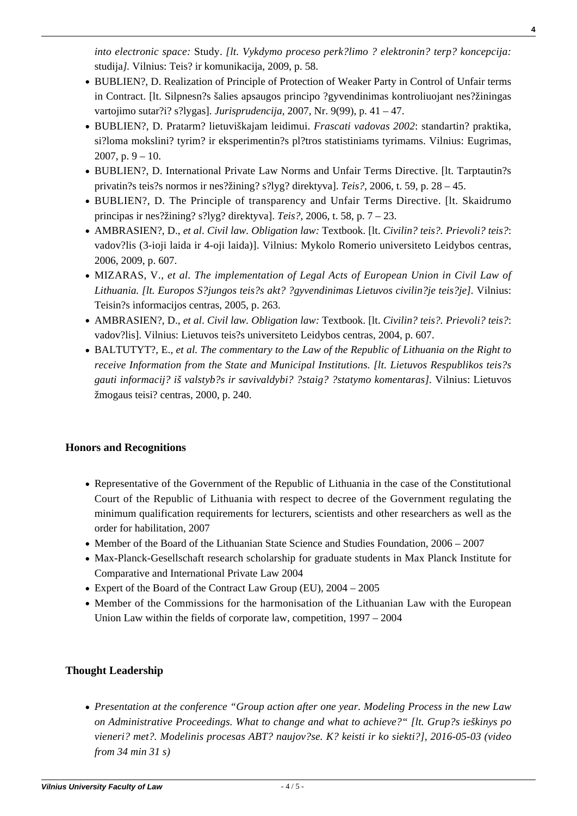*into electronic space:* Study. *[lt. Vykdymo proceso perk?limo ? elektronin? terp? koncepcija:* studija*].* Vilnius: Teis? ir komunikacija, 2009, p. 58.

- [BUBLIEN?, D. Realization of Principle of Protection of Weaker Party in Control of Unfair terms](https://www3.mruni.eu/ojs/jurisprudence/article/view/2680/2484) [in Contract. \[lt. Silpnesn?s šalies apsaugos principo ?gyvendinimas kontroliuojant nes?žiningas](https://www3.mruni.eu/ojs/jurisprudence/article/view/2680/2484) [vartojimo sutar?i? s?lygas\].](https://www3.mruni.eu/ojs/jurisprudence/article/view/2680/2484) *[Jurisprudencija,](https://www3.mruni.eu/ojs/jurisprudence/article/view/2680/2484)* [2007, Nr. 9\(99\), p. 41 – 47.](https://www3.mruni.eu/ojs/jurisprudence/article/view/2680/2484)
- [BUBLIEN?, D. Pratarm? lietuviškajam leidimui.](http://old.mii.lt/files/frascati_maketas_final_su_virseliais.pdf) *[Frascati vadovas 2002](http://old.mii.lt/files/frascati_maketas_final_su_virseliais.pdf)*[: standartin? praktika,](http://old.mii.lt/files/frascati_maketas_final_su_virseliais.pdf) [si?loma mokslini? tyrim? ir eksperimentin?s pl?tros statistiniams tyrimams. Vilnius: Eugrimas,](http://old.mii.lt/files/frascati_maketas_final_su_virseliais.pdf) 2007, p.  $9 - 10$ .
- [BUBLIEN?, D. International Private Law Norms and Unfair Terms Directive. \[lt. Tarptautin?s](http://etalpykla.lituanistikadb.lt/fedora/objects/LT-LDB-0001:J.04~2006~1367154909070/datastreams/DS.002.0.01.ARTIC/content) [privatin?s teis?s normos ir nes?žining? s?lyg? direktyva\].](http://etalpykla.lituanistikadb.lt/fedora/objects/LT-LDB-0001:J.04~2006~1367154909070/datastreams/DS.002.0.01.ARTIC/content) *[Teis?,](http://etalpykla.lituanistikadb.lt/fedora/objects/LT-LDB-0001:J.04~2006~1367154909070/datastreams/DS.002.0.01.ARTIC/content)* [2006, t. 59, p. 28 – 45.](http://etalpykla.lituanistikadb.lt/fedora/objects/LT-LDB-0001:J.04~2006~1367154909070/datastreams/DS.002.0.01.ARTIC/content)
- BUBLIEN?, D. The Principle of transparency and Unfair Terms Directive. [It. Skaidrumo [principas ir nes?žining? s?lyg? direktyva\].](http://etalpykla.lituanistikadb.lt/fedora/objects/LT-LDB-0001:J.04~2006~1367154910921/datastreams/DS.002.0.01.ARTIC/content) *[Teis?,](http://etalpykla.lituanistikadb.lt/fedora/objects/LT-LDB-0001:J.04~2006~1367154910921/datastreams/DS.002.0.01.ARTIC/content)* [2006, t. 58, p. 7 – 23.](http://etalpykla.lituanistikadb.lt/fedora/objects/LT-LDB-0001:J.04~2006~1367154910921/datastreams/DS.002.0.01.ARTIC/content)
- AMBRASIEN?, D., *et al*. *Civil law. Obligation law:* Textbook. [lt. *Civilin? teis?. Prievoli? teis?*: vadov?lis (3-ioji laida ir 4-oji laida)]. Vilnius: Mykolo Romerio universiteto Leidybos centras, 2006, 2009, p. 607.
- MIZARAS, V., *et al. The implementation of Legal Acts of European Union in Civil Law of Lithuania. [lt. Europos S?jungos teis?s akt? ?gyvendinimas Lietuvos civilin?je teis?je].* Vilnius: Teisin?s informacijos centras, 2005, p. 263.
- AMBRASIEN?, D., *et al*. *Civil law. Obligation law:* Textbook. [lt. *Civilin? teis?. Prievoli? teis?*: vadov?lis]. Vilnius: Lietuvos teis?s universiteto Leidybos centras, 2004, p. 607.
- BALTUTYT?, E., *et al. The commentary to the Law of the Republic of Lithuania on the Right to receive Information from the State and Municipal Institutions. [lt. Lietuvos Respublikos teis?s gauti informacij? iš valstyb?s ir savivaldybi? ?staig? ?statymo komentaras].* Vilnius: Lietuvos žmogaus teisi? centras, 2000, p. 240.

# **Honors and Recognitions**

- Representative of the Government of the Republic of Lithuania in the case of the Constitutional Court of the Republic of Lithuania with respect to decree of the Government regulating the minimum qualification requirements for lecturers, scientists and other researchers as well as the order for habilitation, 2007
- Member of the Board of the Lithuanian State Science and Studies Foundation, 2006 2007
- Max-Planck-Gesellschaft research scholarship for graduate students in Max Planck Institute for Comparative and International Private Law 2004
- Expert of the Board of the Contract Law Group (EU),  $2004 2005$
- Member of the Commissions for the harmonisation of the Lithuanian Law with the European Union Law within the fields of corporate law, competition, 1997 – 2004

# **Thought Leadership**

*[Presentation at the conference "Group action after one year. Modeling Process in the new Law](https://www.youtube.com/watch?v=_pwOwKBSiVY) [on Administrative Proceedings. What to change and what to achieve?" \[lt. Grup?s ieškinys po](https://www.youtube.com/watch?v=_pwOwKBSiVY) [vieneri? met?. Modelinis procesas ABT? naujov?se. K? keisti ir ko siekti?\], 2016-05-03 \(video](https://www.youtube.com/watch?v=_pwOwKBSiVY) [from 34 min 31 s\)](https://www.youtube.com/watch?v=_pwOwKBSiVY)*